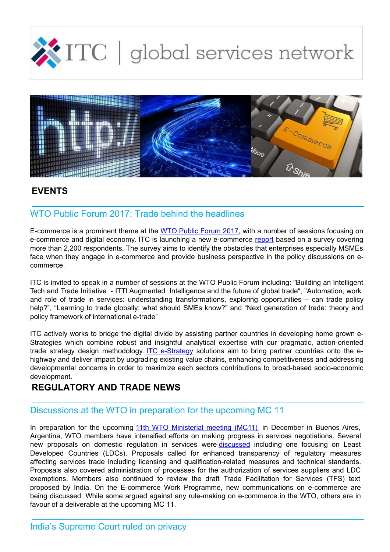



# **EVENTS**

# WTO Public Forum 2017: Trade behind the headlines

E-commerce is a prominent theme at the WTO Public [Forum](https://www.wto.org/english/forums_e/public_forum17_e/pf17programme_e.htm) 2017, with a number of sessions focusing on e-commerce and digital economy. ITC is launching a new e-commerce [report](http://www.intracen.org/publication/New-Pathways-to-E-commerce/) based on a survey covering more than 2,200 respondents. The survey aims to identify the obstacles that enterprises especially MSMEs face when they engage in e-commerce and provide business perspective in the policy discussions on ecommerce.

ITC is invited to speak in a number of sessions at the WTO Public Forum including: "Building an Intelligent Tech and Trade Initiative - ITTI Augmented Intelligence and the future of global trade", "Automation, work and role of trade in services: understanding transformations, exploring opportunities – can trade policy help?", "Learning to trade globally: what should SMEs know?" and "Next generation of trade: theory and policy framework of international e-trade"

ITC actively works to bridge the digital divide by assisting partner countries in developing home grown e-Strategies which combine robust and insightful analytical expertise with our pragmatic, action-oriented trade strategy design methodology. ITC [e-Strategy](http://www.intracen.org/itc/trade-strategy/e-Strategies/) solutions aim to bring partner countries onto the ehighway and deliver impact by upgrading existing value chains, enhancing competitiveness and addressing developmental concerns in order to maximize each sectors contributions to broad-based socio-economic development.

# **REGULATORY AND TRADE NEWS**

## Discussions at the WTO in preparation for the upcoming MC 11

In preparation for the upcoming 11th WTO [Ministerial](https://www.wto.org/english/thewto_e/minist_e/mc11_e/mc11_e.htm) meeting (MC11) in December in Buenos Aires, Argentina, WTO members have intensified efforts on making progress in services negotiations. Several new proposals on domestic regulation in services were [discussed](https://www.wto.org/english/news_e/news17_e/serv_11jul17_e.htm) including one focusing on Least Developed Countries (LDCs). Proposals called for enhanced transparency of regulatory measures affecting services trade including licensing and qualification-related measures and technical standards. Proposals also covered administration of processes for the authorization of services suppliers and LDC exemptions. Members also continued to review the draft Trade Facilitation for Services (TFS) text proposed by India. On the E-commerce Work Programme, new communications on e-commerce are being discussed. While some argued against any rule-making on e-commerce in the WTO, others are in favour of a deliverable at the upcoming MC 11.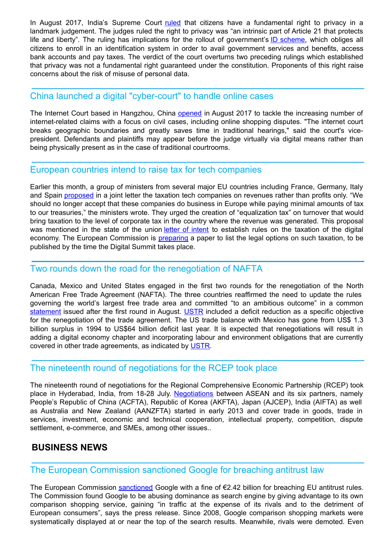In August 2017, India's Supreme Court [ruled](http://www.bbc.com/news/world-asia-india-41033954) that citizens have a fundamental right to privacy in a landmark judgement. The judges ruled the right to privacy was "an intrinsic part of Article 21 that protects life and liberty". The ruling has implications for the rollout of government's ID [scheme](http://www.bbc.com/news/world-asia-40371523), which obliges all citizens to enroll in an identification system in order to avail government services and benefits, access bank accounts and pay taxes. The verdict of the court overturns two preceding rulings which established that privacy was not a fundamental right guaranteed under the constitution. Proponents of this right raise concerns about the risk of misuse of personal data.

#### China launched a digital "cyber-court" to handle online cases

The Internet Court based in Hangzhou, China [opened](http://www.bbc.com/news/technology-40980004) in August 2017 to tackle the increasing number of internet-related claims with a focus on civil cases, including online shopping disputes. "The internet court breaks geographic boundaries and greatly saves time in traditional hearings," said the court's vicepresident. Defendants and plaintiffs may appear before the judge virtually via digital means rather than being physically present as in the case of traditional courtrooms.

#### European countries intend to raise tax for tech companies

Earlier this month, a group of ministers from several major EU countries including France, Germany, Italy and Spain [proposed](https://www.reuters.com/article/us-eu-tax-digital/france-germany-italy-spain-seek-tax-on-digital-giants-revenues-idUSKCN1BK0HX) in a joint letter the taxation tech companies on revenues rather than profits only. "We should no longer accept that these companies do business in Europe while paying minimal amounts of tax to our treasuries," the ministers wrote. They urged the creation of "equalization tax" on turnover that would bring taxation to the level of corporate tax in the country where the revenue was generated. This proposal was mentioned in the state of the union letter of [intent](https://ec.europa.eu/commission/sites/beta-political/files/letter-of-intent-2017_en.pdf) to establish rules on the taxation of the digital economy. The European Commission is [preparing](https://techcrunch.com/2017/09/15/europe-says-all-options-on-table-for-taxing-tech-giants/) a paper to list the legal options on such taxation, to be published by the time the Digital Summit takes place.

#### Two rounds down the road for the renegotiation of NAFTA

Canada, Mexico and United States engaged in the first two rounds for the renegotiation of the North American Free Trade Agreement (NAFTA). The three countries reaffirmed the need to update the rules governing the world's largest free trade area and committed "to an ambitious outcome" in a common [statement](https://ustr.gov/about-us/policy-offices/press-office/press-releases/2017/august/trilateral-statement-conclusion) issued after the first round in August. [USTR](https://ustr.gov/about-us/policy-offices/press-office/press-releases/2017/july/ustr-releases-nafta-negotiating) included a deficit reduction as a specific objective for the renegotiation of the trade agreement. The US trade balance with Mexico has gone from US\$ 1.3 billion surplus in 1994 to US\$64 billion deficit last year. It is expected that renegotiations will result in adding a digital economy chapter and incorporating labour and environment obligations that are currently covered in other trade agreements, as indicated by [USTR](https://ustr.gov/about-us/policy-offices/press-office/press-releases/2017/july/ustr-releases-nafta-negotiating).

## The nineteenth round of negotiations for the RCEP took place

The nineteenth round of negotiations for the Regional Comprehensive Economic Partnership (RCEP) took place in Hyderabad, India, from 18-28 July. [Negotiations](http://asean.org/?static_post=rcep-regional-comprehensive-economic-partnership) between ASEAN and its six partners, namely People's Republic of China (ACFTA), Republic of Korea (AKFTA), Japan (AJCEP), India (AIFTA) as well as Australia and New Zealand (AANZFTA) started in early 2013 and cover trade in goods, trade in services, investment, economic and technical cooperation, intellectual property, competition, dispute settlement, e-commerce, and SMEs, among other issues..

## **BUSINESS NEWS**

## The European Commission sanctioned Google for breaching antitrust law

The European Commission [sanctioned](http://europa.eu/rapid/press-release_IP-17-1784_en.htm) Google with a fine of €2.42 billion for breaching EU antitrust rules. The Commission found Google to be abusing dominance as search engine by giving advantage to its own comparison shopping service, gaining "in traffic at the expense of its rivals and to the detriment of European consumers", says the press release. Since 2008, Google comparison shopping markets were systematically displayed at or near the top of the search results. Meanwhile, rivals were demoted. Even